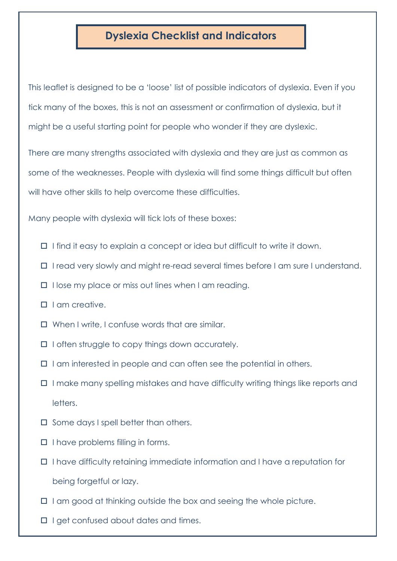## **Dyslexia Checklist and Indicators**

This leaflet is designed to be a 'loose' list of possible indicators of dyslexia. Even if you tick many of the boxes, this is not an assessment or confirmation of dyslexia, but it might be a useful starting point for people who wonder if they are dyslexic.

There are many strengths associated with dyslexia and they are just as common as some of the weaknesses. People with dyslexia will find some things difficult but often will have other skills to help overcome these difficulties.

Many people with dyslexia will tick lots of these boxes:

- $\Box$  I find it easy to explain a concept or idea but difficult to write it down.
- I read very slowly and might re-read several times before I am sure I understand.
- $\Box$  I lose my place or miss out lines when I am reading.
- $\Pi$  I am creative.
- When I write, I confuse words that are similar.
- $\Box$  I often struggle to copy things down accurately.
- $\Box$  I am interested in people and can often see the potential in others.
- $\Box$  I make many spelling mistakes and have difficulty writing things like reports and letters.
- $\square$  Some days I spell better than others.
- $\Box$  I have problems filling in forms.
- I have difficulty retaining immediate information and I have a reputation for being forgetful or lazy.
- $\Box$  I am good at thinking outside the box and seeing the whole picture.
- $\Box$  I get confused about dates and times.